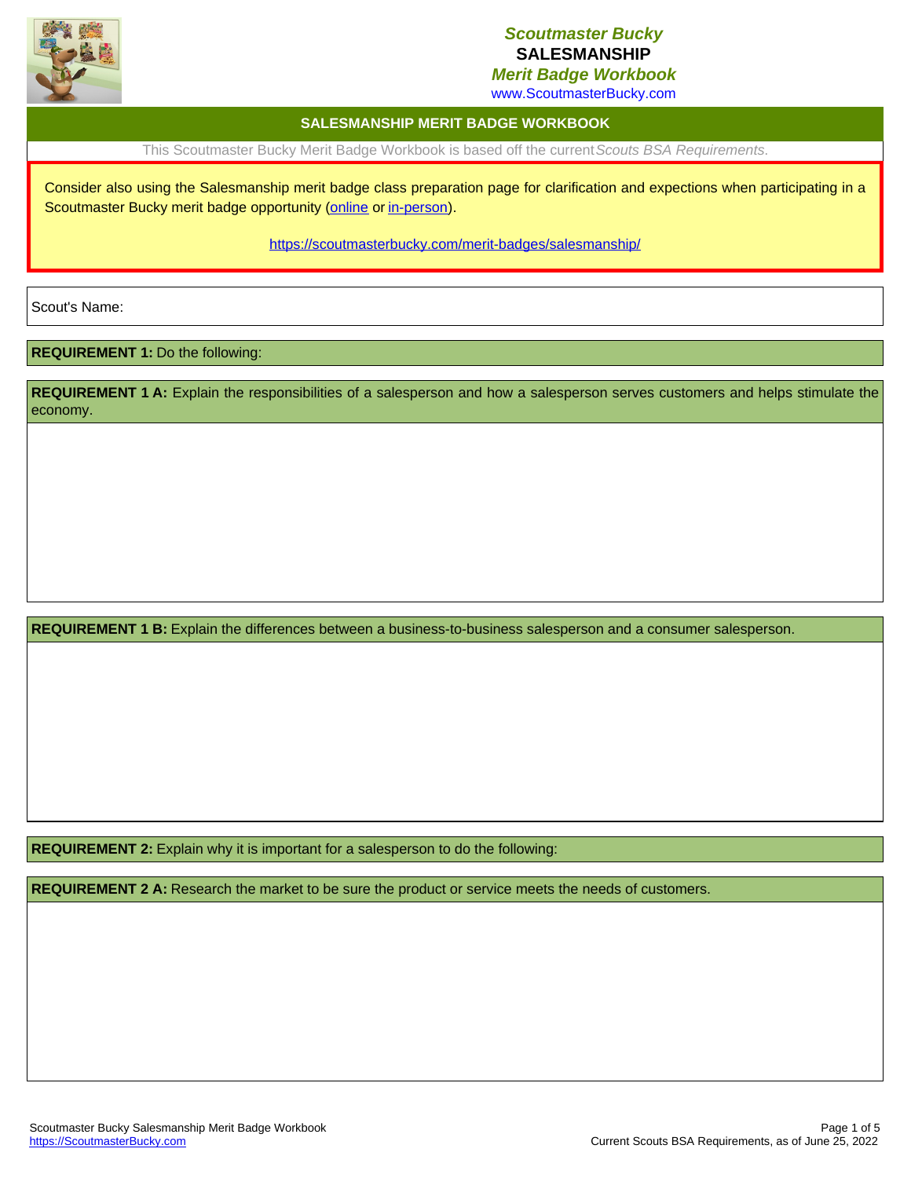

### *Scoutmaster Bucky* **SALESMANSHIP**

*Merit Badge Workbook*

www.ScoutmasterBucky.com

#### **SALESMANSHIP MERIT BADGE WORKBOOK**

This Scoutmaster Bucky Merit Badge Workbook is based off the current*Scouts BSA Requirements*.

Consider also using the Salesmanship merit badge class preparation page for clarification and expections when participating in a Scoutmaster Bucky merit badge opportunity ([online](http://localhost:8080/merit-badges/salesmanship/?notes=online) or [in-person](http://localhost:8080/merit-badges/salesmanship/?notes=inPerson)).

<https://scoutmasterbucky.com/merit-badges/salesmanship/>

Scout's Name:

#### **REQUIREMENT 1:** Do the following:

**REQUIREMENT 1 A:** Explain the responsibilities of a salesperson and how a salesperson serves customers and helps stimulate the economy.

**REQUIREMENT 1 B:** Explain the differences between a business-to-business salesperson and a consumer salesperson.

**REQUIREMENT 2:** Explain why it is important for a salesperson to do the following:

**REQUIREMENT 2 A:** Research the market to be sure the product or service meets the needs of customers.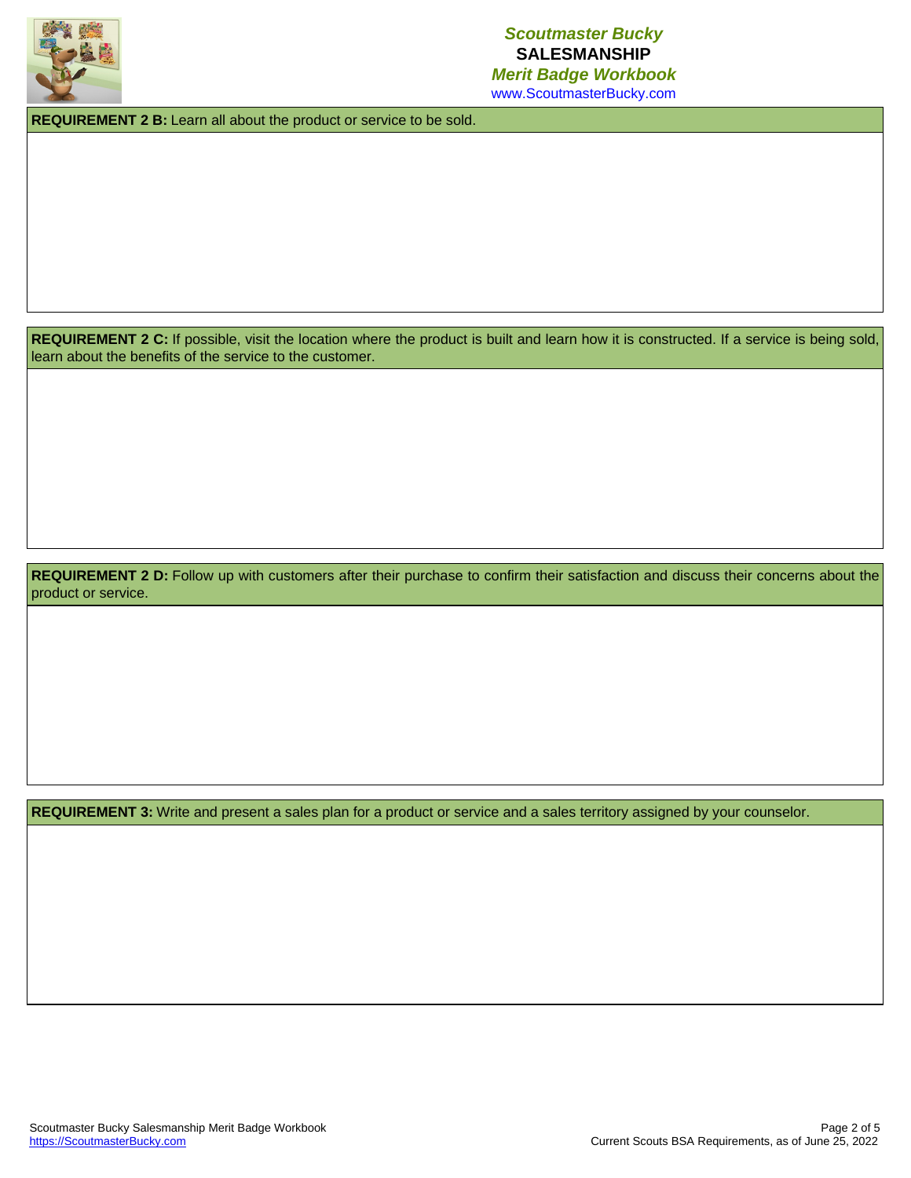

### *Scoutmaster Bucky* **SALESMANSHIP** *Merit Badge Workbook*

www.ScoutmasterBucky.com

**REQUIREMENT 2 B:** Learn all about the product or service to be sold.

REQUIREMENT 2 C: If possible, visit the location where the product is built and learn how it is constructed. If a service is being sold, learn about the benefits of the service to the customer.

REQUIREMENT 2 D: Follow up with customers after their purchase to confirm their satisfaction and discuss their concerns about the product or service.

**REQUIREMENT 3:** Write and present a sales plan for a product or service and a sales territory assigned by your counselor.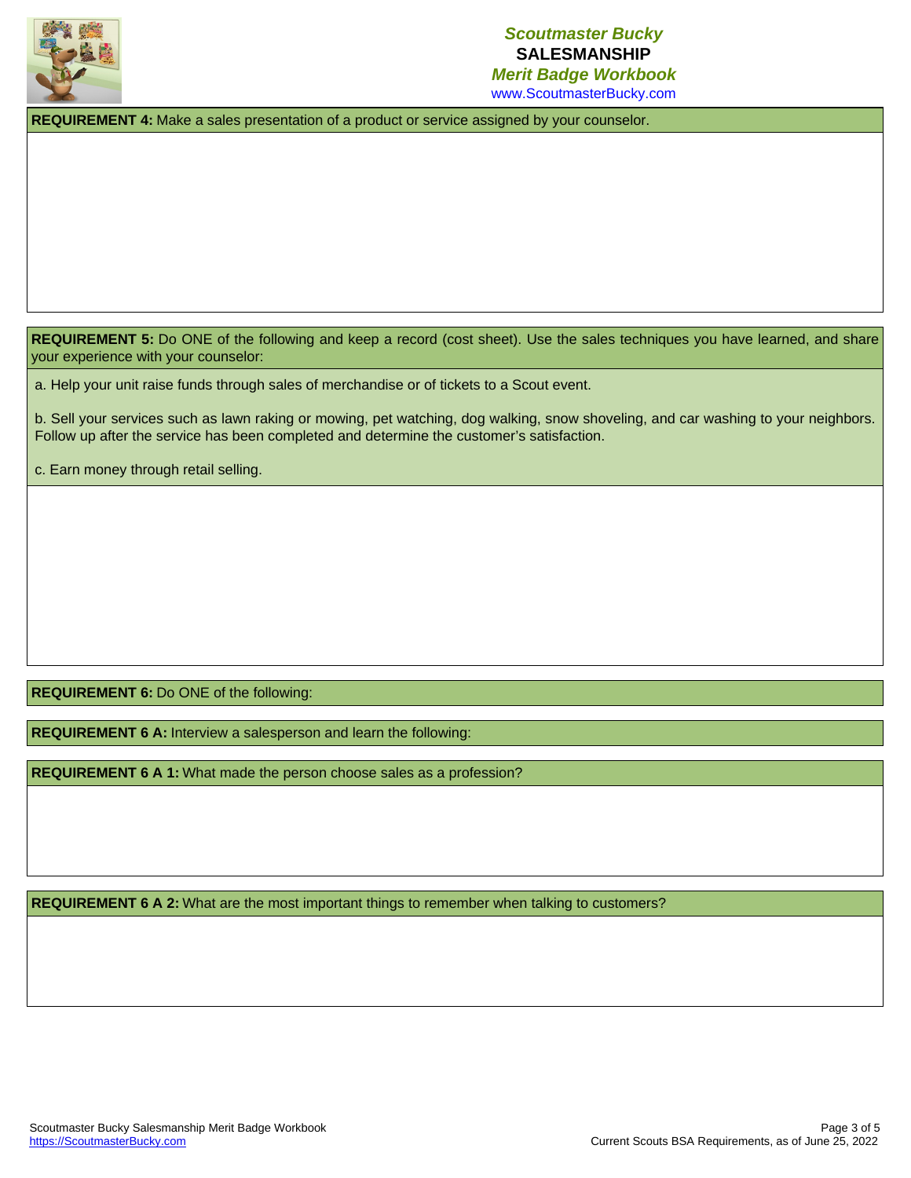

# *Scoutmaster Bucky* **SALESMANSHIP**

*Merit Badge Workbook* www.ScoutmasterBucky.com

**REQUIREMENT 4:** Make a sales presentation of a product or service assigned by your counselor.

**REQUIREMENT 5:** Do ONE of the following and keep a record (cost sheet). Use the sales techniques you have learned, and share your experience with your counselor:

a. Help your unit raise funds through sales of merchandise or of tickets to a Scout event.

b. Sell your services such as lawn raking or mowing, pet watching, dog walking, snow shoveling, and car washing to your neighbors. Follow up after the service has been completed and determine the customer's satisfaction.

c. Earn money through retail selling.

**REQUIREMENT 6:** Do ONE of the following:

**REQUIREMENT 6 A:** Interview a salesperson and learn the following:

**REQUIREMENT 6 A 1:** What made the person choose sales as a profession?

**REQUIREMENT 6 A 2:** What are the most important things to remember when talking to customers?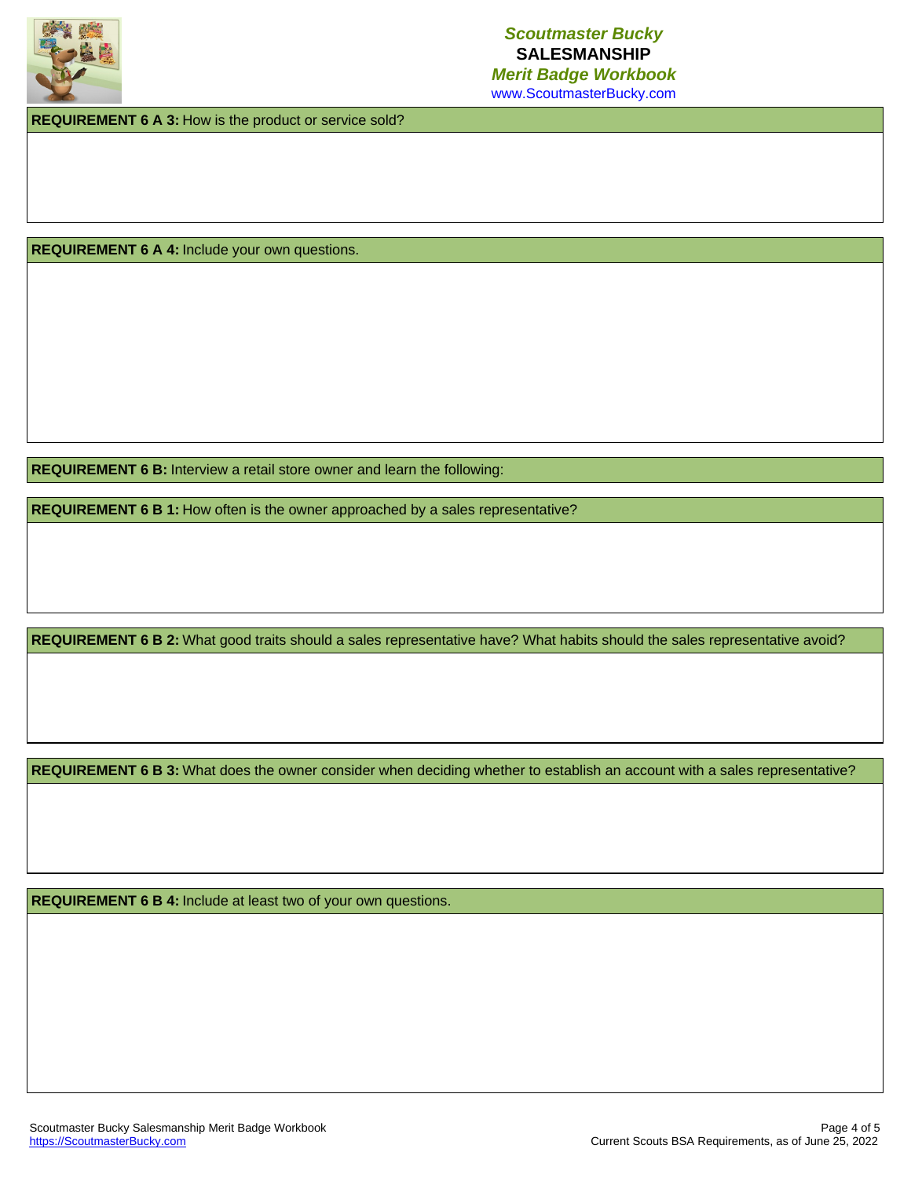

www.ScoutmasterBucky.com

**REQUIREMENT 6 A 3:** How is the product or service sold?

**REQUIREMENT 6 A 4:** Include your own questions.

**REQUIREMENT 6 B:** Interview a retail store owner and learn the following:

**REQUIREMENT 6 B 1:** How often is the owner approached by a sales representative?

**REQUIREMENT 6 B 2:** What good traits should a sales representative have? What habits should the sales representative avoid?

**REQUIREMENT 6 B 3:** What does the owner consider when deciding whether to establish an account with a sales representative?

**REQUIREMENT 6 B 4:** Include at least two of your own questions.